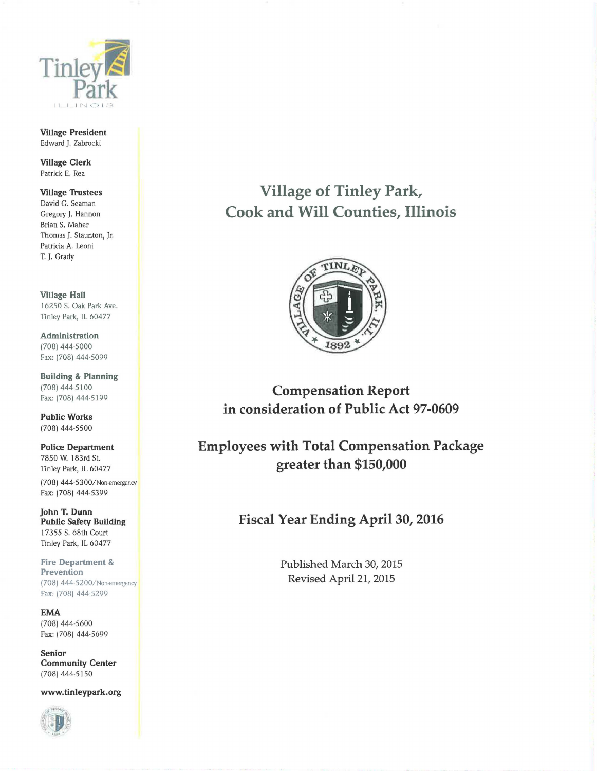

Village President Edward J. Zabrocki

Village Clerk Patrick E. Rea

Village Trustees David G. Seaman Gregory J. Hannon Brian S. Maher Thomas J. Staunton, Jr. Patricia A. Leoni T. J. Grady

Village Hall 16250 S. Oak Park Ave. Tinley Park, IL 60477

Administration (708) 444-5000 Fax: (708) 444-5099

Building & Planning (708) 444-5100 Fax: (708) 444-5199

Public Works (708) 444-5500

Police Department 7850 W. 183rd St. Tinley Park, IL 60477 (708) 444-5300/ Non-emergency Fax: (708) 444·5399

john T. Dunn Public Safety Building I 7355 S. 68th Court Tinley Park, IL 60477

Fire Department & Prevention (708) 444-5200/Non-emergency Fax: (708) 444·5299

EMA (708) 444-5600 Fax: (708) 444·5699

Senior Community Center (708) 444-5150

www.tinleypark.org



Village of Tinley Park, Cook and Will Counties, Illinois



Compensation Report in consideration of Public Act 97-0609

Employees with Total Compensation Package greater than \$150,000

Fiscal Year Ending April 30, 2016

Published March 30, 2015 Revised April 21, 2015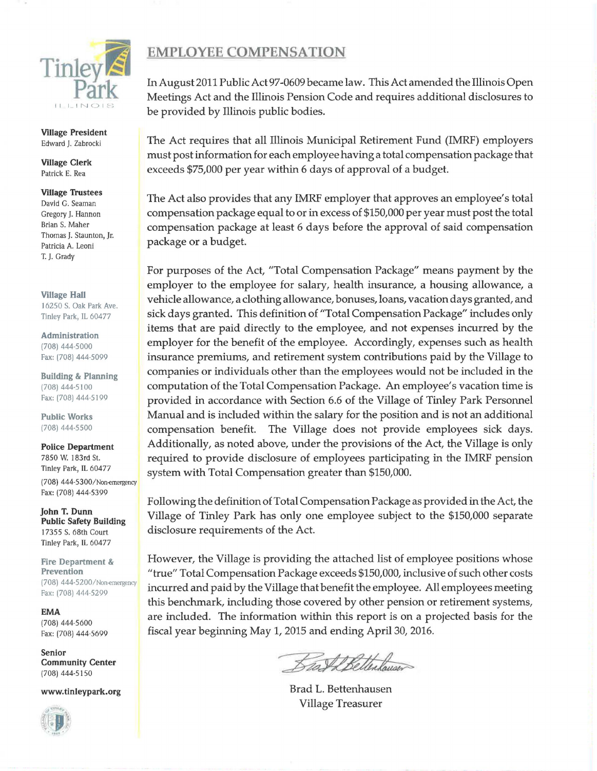

Village President Edward J. Zabrocki

Village Clerk Patrick E. Rea

## Village Trustees

David G. Seaman Gregory J. Hannon Brian S. Maher Thomas J. Staunton, Jr. Patricia A. Leoni T. J. Grady

Village Hall 16250 S. Oak Park Ave. Tinley Park, IL 60477

Administration (708) 444-5000 Fax: (708) 444-5099

Building & Planning (708) 444-5100 Fax: (708) 444-5199

Public Works (708) 444-5500

Police Department 7850 W. 183rd St. Tinley Park, IL 60477 (708) 444-5300/Non-emergency Fax: (708) 444-5399

John T. Dunn Public Safety Building 17355 S. 68th Court Tinley Park, IL 60477

Fire Department & Prevention (708) 444-5200/Non-emergency Fax: (708) 444-5299

EMA (708) 444-5600 Fax: (708) 444-5699

Senior Community Center (708) 444-5150

www.tinleypark.org



## EMPLOYEE COMPENSATION

In August 2011 Public Act 97-0609 became law. This Act amended the Illinois Open Meetings Act and the Illinois Pension Code and requires additional disclosures to be provided by Illinois public bodies.

The Act requires that all Illinois Municipal Retirement Fund (IMRF) employers must post information for each employee having a total compensation package that exceeds \$75,000 per year within 6 days of approval of a budget.

The Act also provides that any IMRF employer that approves an employee's total compensation package equal to or in excess of \$150,000 per year must post the total compensation package at least 6 days before the approval of said compensation package or a budget.

For purposes of the Act, "Total Compensation Package" means payment by the employer to the employee for salary, health insurance, a housing allowance, a vehicle allowance, a clothing allowance, bonuses, loans, vacation days granted, and sick days granted. This definition of "Total Compensation Package" includes only items that are paid directly to the employee, and not expenses incurred by the employer for the benefit of the employee. Accordingly, expenses such as health insurance premiums, and retirement system contributions paid by the Village to companies or individuals other than the employees would not be included in the computation of the Total Compensation Package. An employee's vacation time is provided in accordance with Section 6.6 of the Village of Tinley Park Personnel Manual and is included within the salary for the position and is not an additional compensation benefit. The Village does not provide employees sick days. Additionally, as noted above, under the provisions of the Act, the Village is only required to provide disclosure of employees participating in the IMRF pension system with Total Compensation greater than \$150,000.

Following the definition of Total Compensation Package as provided in the Act, the Village of Tinley Park has only one employee subject to the \$150,000 separate disclosure requirements of the Act.

However, the Village is providing the attached list of employee positions whose "true" Total Compensation Package exceeds \$150,000, inclusive of such other costs incurred and paid by the Village that benefit the employee. All employees meeting this benchmark, including those covered by other pension or retirement systems, are included. The information within this report is on a projected basis for the fiscal year beginning May 1, 2015 and ending April 30, 2016.

Sall Bellesburg

Brad L. Bettenhausen Village Treasurer